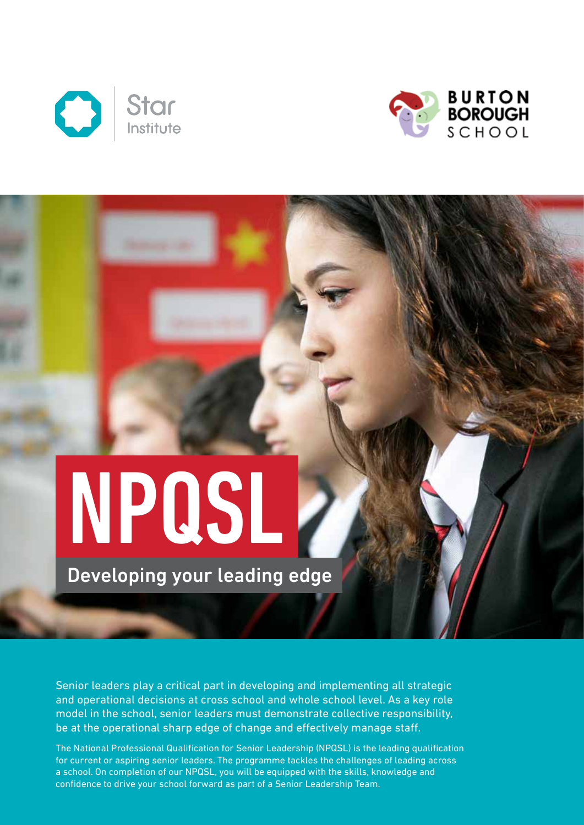



# NPQSL

Developing your leading edge

Senior leaders play a critical part in developing and implementing all strategic and operational decisions at cross school and whole school level. As a key role model in the school, senior leaders must demonstrate collective responsibility, be at the operational sharp edge of change and effectively manage staff.

The National Professional Qualification for Senior Leadership (NPQSL) is the leading qualification for current or aspiring senior leaders. The programme tackles the challenges of leading across a school. On completion of our NPQSL, you will be equipped with the skills, knowledge and confidence to drive your school forward as part of a Senior Leadership Team.